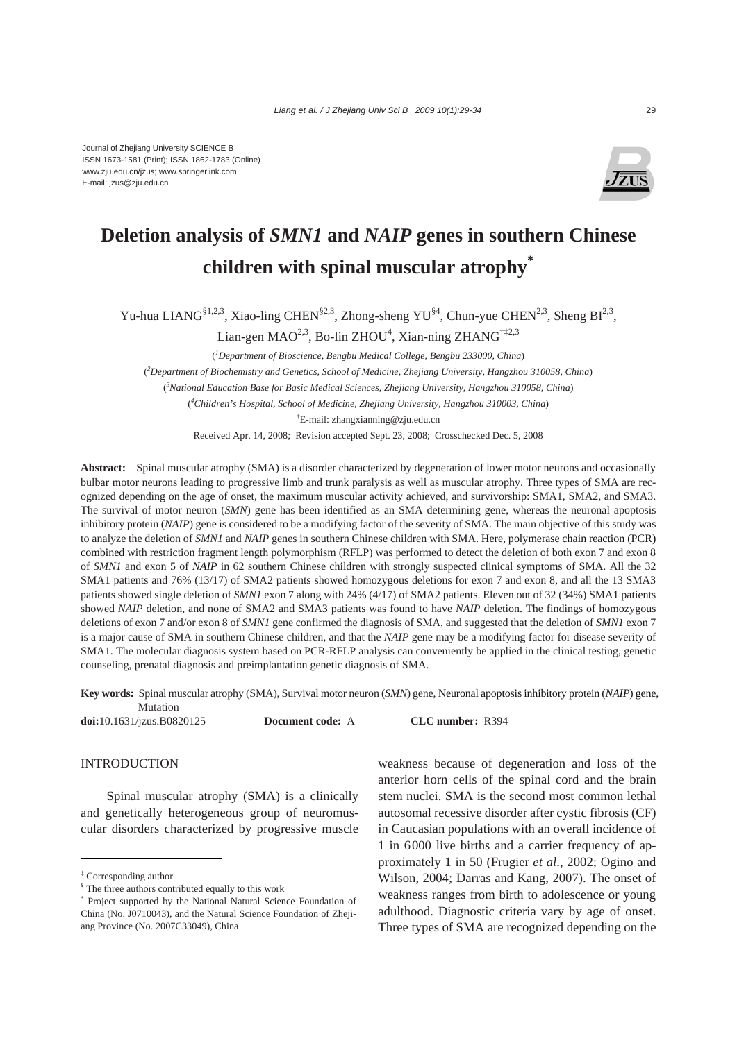

# **Deletion analysis of** *SMN1* **and** *NAIP* **genes in southern Chinese children with spinal muscular atrophy\***

Yu-hua LIANG<sup>§1,2,3</sup>, Xiao-ling CHEN<sup>§2,3</sup>, Zhong-sheng YU<sup>§4</sup>, Chun-yue CHEN<sup>2,3</sup>, Sheng BI<sup>2,3</sup>,

Lian-gen MAO<sup>2,3</sup>, Bo-lin ZHOU<sup>4</sup>, Xian-ning ZHANG<sup>†‡2,3</sup>

( *1 Department of Bioscience, Bengbu Medical College, Bengbu 233000, China*)

( *2 Department of Biochemistry and Genetics, School of Medicine, Zhejiang University, Hangzhou 310058, China*)

( *3 National Education Base for Basic Medical Sciences, Zhejiang University, Hangzhou 310058, China*)

( *4 Children's Hospital, School of Medicine, Zhejiang University, Hangzhou 310003, China*)

† E-mail: zhangxianning@zju.edu.cn

Received Apr. 14, 2008; Revision accepted Sept. 23, 2008; Crosschecked Dec. 5, 2008

**Abstract:** Spinal muscular atrophy (SMA) is a disorder characterized by degeneration of lower motor neurons and occasionally bulbar motor neurons leading to progressive limb and trunk paralysis as well as muscular atrophy. Three types of SMA are recognized depending on the age of onset, the maximum muscular activity achieved, and survivorship: SMA1, SMA2, and SMA3. The survival of motor neuron (*SMN*) gene has been identified as an SMA determining gene, whereas the neuronal apoptosis inhibitory protein (*NAIP*) gene is considered to be a modifying factor of the severity of SMA. The main objective of this study was to analyze the deletion of *SMN1* and *NAIP* genes in southern Chinese children with SMA. Here, polymerase chain reaction (PCR) combined with restriction fragment length polymorphism (RFLP) was performed to detect the deletion of both exon 7 and exon 8 of *SMN1* and exon 5 of *NAIP* in 62 southern Chinese children with strongly suspected clinical symptoms of SMA. All the 32 SMA1 patients and 76% (13/17) of SMA2 patients showed homozygous deletions for exon 7 and exon 8, and all the 13 SMA3 patients showed single deletion of *SMN1* exon 7 along with 24% (4/17) of SMA2 patients. Eleven out of 32 (34%) SMA1 patients showed *NAIP* deletion, and none of SMA2 and SMA3 patients was found to have *NAIP* deletion. The findings of homozygous deletions of exon 7 and/or exon 8 of *SMN1* gene confirmed the diagnosis of SMA, and suggested that the deletion of *SMN1* exon 7 is a major cause of SMA in southern Chinese children, and that the *NAIP* gene may be a modifying factor for disease severity of SMA1. The molecular diagnosis system based on PCR-RFLP analysis can conveniently be applied in the clinical testing, genetic counseling, prenatal diagnosis and preimplantation genetic diagnosis of SMA.

**Key words:** Spinal muscular atrophy (SMA), Survival motor neuron (*SMN*) gene, Neuronal apoptosis inhibitory protein (*NAIP*) gene, Mutation

**doi:**10.1631/jzus.B0820125 **Document code:** A **CLC number:** R394

## **INTRODUCTION**

Spinal muscular atrophy (SMA) is a clinically and genetically heterogeneous group of neuromuscular disorders characterized by progressive muscle weakness because of degeneration and loss of the anterior horn cells of the spinal cord and the brain stem nuclei. SMA is the second most common lethal autosomal recessive disorder after cystic fibrosis (CF) in Caucasian populations with an overall incidence of 1 in 6000 live births and a carrier frequency of approximately 1 in 50 (Frugier *et al*., 2002; Ogino and Wilson, 2004; Darras and Kang, 2007). The onset of weakness ranges from birth to adolescence or young adulthood. Diagnostic criteria vary by age of onset. Three types of SMA are recognized depending on the

<sup>‡</sup> Corresponding author

<sup>§</sup> The three authors contributed equally to this work

<sup>\*</sup> Project supported by the National Natural Science Foundation of China (No. J0710043), and the Natural Science Foundation of Zhejiang Province (No. 2007C33049), China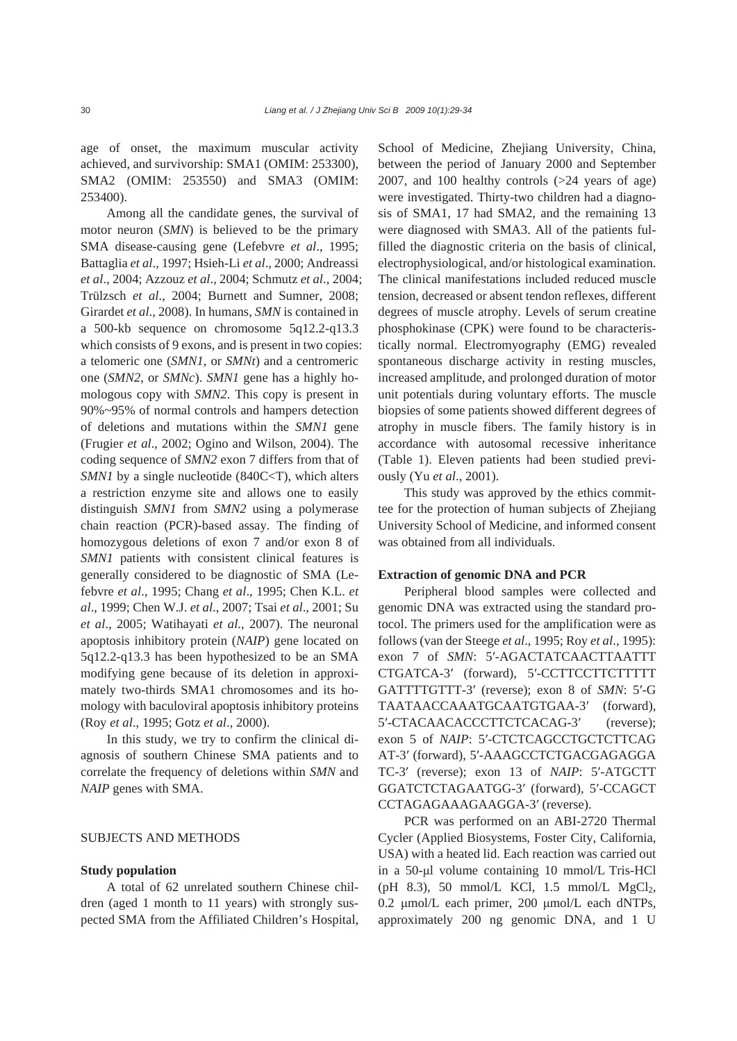age of onset, the maximum muscular activity achieved, and survivorship: SMA1 (OMIM: 253300), SMA2 (OMIM: 253550) and SMA3 (OMIM: 253400).

Among all the candidate genes, the survival of motor neuron (*SMN*) is believed to be the primary SMA disease-causing gene (Lefebvre *et al*., 1995; Battaglia *et al*., 1997; Hsieh-Li *et al*., 2000; Andreassi *et al*., 2004; Azzouz *et al*., 2004; Schmutz *et al*., 2004; Trülzsch *et al*., 2004; Burnett and Sumner, 2008; Girardet *et al*., 2008). In humans, *SMN* is contained in a 500-kb sequence on chromosome 5q12.2-q13.3 which consists of 9 exons, and is present in two copies: a telomeric one (*SMN1*, or *SMNt*) and a centromeric one (*SMN2*, or *SMNc*). *SMN1* gene has a highly homologous copy with *SMN2*. This copy is present in 90%~95% of normal controls and hampers detection of deletions and mutations within the *SMN1* gene (Frugier *et al*., 2002; Ogino and Wilson, 2004). The coding sequence of *SMN2* exon 7 differs from that of *SMN1* by a single nucleotide (840C<T), which alters a restriction enzyme site and allows one to easily distinguish *SMN1* from *SMN2* using a polymerase chain reaction (PCR)-based assay. The finding of homozygous deletions of exon 7 and/or exon 8 of *SMN1* patients with consistent clinical features is generally considered to be diagnostic of SMA (Lefebvre *et al*., 1995; Chang *et al*., 1995; Chen K.L. *et al*., 1999; Chen W.J. *et al*., 2007; Tsai *et al*., 2001; Su *et al*., 2005; Watihayati *et al*., 2007). The neuronal apoptosis inhibitory protein (*NAIP*) gene located on 5q12.2-q13.3 has been hypothesized to be an SMA modifying gene because of its deletion in approximately two-thirds SMA1 chromosomes and its homology with baculoviral apoptosis inhibitory proteins (Roy *et al*., 1995; Gotz *et al*., 2000).

In this study, we try to confirm the clinical diagnosis of southern Chinese SMA patients and to correlate the frequency of deletions within *SMN* and *NAIP* genes with SMA.

## SUBJECTS AND METHODS

## **Study population**

A total of 62 unrelated southern Chinese children (aged 1 month to 11 years) with strongly suspected SMA from the Affiliated Children's Hospital, School of Medicine, Zhejiang University, China, between the period of January 2000 and September 2007, and 100 healthy controls (>24 years of age) were investigated. Thirty-two children had a diagnosis of SMA1, 17 had SMA2, and the remaining 13 were diagnosed with SMA3. All of the patients fulfilled the diagnostic criteria on the basis of clinical, electrophysiological, and/or histological examination. The clinical manifestations included reduced muscle tension, decreased or absent tendon reflexes, different degrees of muscle atrophy. Levels of serum creatine phosphokinase (CPK) were found to be characteristically normal. Electromyography (EMG) revealed spontaneous discharge activity in resting muscles, increased amplitude, and prolonged duration of motor unit potentials during voluntary efforts. The muscle biopsies of some patients showed different degrees of atrophy in muscle fibers. The family history is in accordance with autosomal recessive inheritance (Table 1). Eleven patients had been studied previously (Yu *et al*., 2001).

This study was approved by the ethics committee for the protection of human subjects of Zhejiang University School of Medicine, and informed consent was obtained from all individuals.

### **Extraction of genomic DNA and PCR**

Peripheral blood samples were collected and genomic DNA was extracted using the standard protocol. The primers used for the amplification were as follows (van der Steege *et al*., 1995; Roy *et al*., 1995): exon 7 of *SMN*: 5′-AGACTATCAACTTAATTT CTGATCA-3′ (forward), 5′-CCTTCCTTCTTTTT GATTTTGTTT-3′ (reverse); exon 8 of *SMN*: 5′-G TAATAACCAAATGCAATGTGAA-3′ (forward), 5′-CTACAACACCCTTCTCACAG-3′ (reverse); exon 5 of *NAIP*: 5′-CTCTCAGCCTGCTCTTCAG AT-3′ (forward), 5′-AAAGCCTCTGACGAGAGGA TC-3′ (reverse); exon 13 of *NAIP*: 5′-ATGCTT GGATCTCTAGAATGG-3′ (forward), 5′-CCAGCT CCTAGAGAAAGAAGGA-3′ (reverse).

PCR was performed on an ABI-2720 Thermal Cycler (Applied Biosystems, Foster City, California, USA) with a heated lid. Each reaction was carried out in a 50-μl volume containing 10 mmol/L Tris-HCl (pH 8.3), 50 mmol/L KCl, 1.5 mmol/L  $MgCl<sub>2</sub>$ , 0.2 μmol/L each primer, 200 μmol/L each dNTPs, approximately 200 ng genomic DNA, and 1 U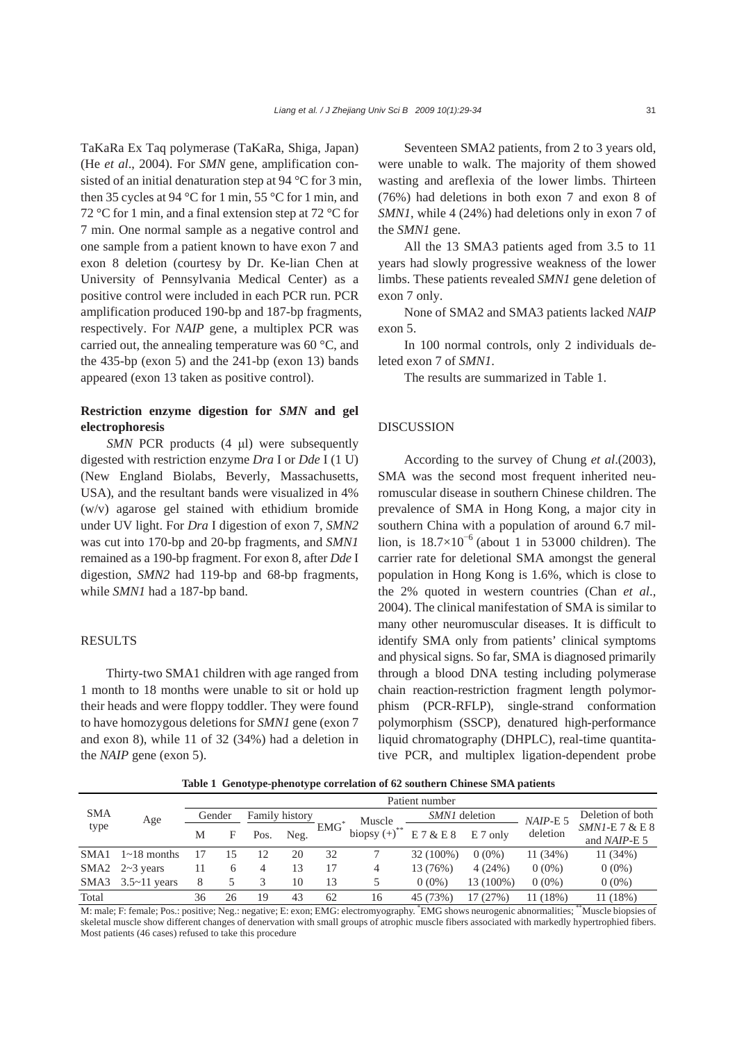TaKaRa Ex Taq polymerase (TaKaRa, Shiga, Japan) (He *et al*., 2004). For *SMN* gene, amplification consisted of an initial denaturation step at 94 °C for 3 min, then 35 cycles at 94 °C for 1 min, 55 °C for 1 min, and 72 °C for 1 min, and a final extension step at 72 °C for 7 min. One normal sample as a negative control and one sample from a patient known to have exon 7 and exon 8 deletion (courtesy by Dr. Ke-lian Chen at University of Pennsylvania Medical Center) as a positive control were included in each PCR run. PCR amplification produced 190-bp and 187-bp fragments, respectively. For *NAIP* gene, a multiplex PCR was carried out, the annealing temperature was 60 °C, and the 435-bp (exon 5) and the 241-bp (exon 13) bands appeared (exon 13 taken as positive control).

## **Restriction enzyme digestion for** *SMN* **and gel electrophoresis**

*SMN* PCR products (4 μl) were subsequently digested with restriction enzyme *Dra* I or *Dde* I (1 U) (New England Biolabs, Beverly, Massachusetts, USA), and the resultant bands were visualized in 4% (w/v) agarose gel stained with ethidium bromide under UV light. For *Dra* I digestion of exon 7, *SMN2* was cut into 170-bp and 20-bp fragments, and *SMN1* remained as a 190-bp fragment. For exon 8, after *Dde* I digestion, *SMN2* had 119-bp and 68-bp fragments, while *SMN1* had a 187-bp band.

## RESULTS

Thirty-two SMA1 children with age ranged from 1 month to 18 months were unable to sit or hold up their heads and were floppy toddler. They were found to have homozygous deletions for *SMN1* gene (exon 7 and exon 8), while 11 of 32 (34%) had a deletion in the *NAIP* gene (exon 5).

Seventeen SMA2 patients, from 2 to 3 years old, were unable to walk. The majority of them showed wasting and areflexia of the lower limbs. Thirteen (76%) had deletions in both exon 7 and exon 8 of *SMN1*, while 4 (24%) had deletions only in exon 7 of the *SMN1* gene.

All the 13 SMA3 patients aged from 3.5 to 11 years had slowly progressive weakness of the lower limbs. These patients revealed *SMN1* gene deletion of exon 7 only.

None of SMA2 and SMA3 patients lacked *NAIP* exon 5.

In 100 normal controls, only 2 individuals deleted exon 7 of *SMN1*.

The results are summarized in Table 1.

## DISCUSSION

According to the survey of Chung *et al*.(2003), SMA was the second most frequent inherited neuromuscular disease in southern Chinese children. The prevalence of SMA in Hong Kong, a major city in southern China with a population of around 6.7 million, is  $18.7\times10^{-6}$  (about 1 in 53000 children). The carrier rate for deletional SMA amongst the general population in Hong Kong is 1.6%, which is close to the 2% quoted in western countries (Chan *et al*., 2004). The clinical manifestation of SMA is similar to many other neuromuscular diseases. It is difficult to identify SMA only from patients' clinical symptoms and physical signs. So far, SMA is diagnosed primarily through a blood DNA testing including polymerase chain reaction-restriction fragment length polymorphism (PCR-RFLP), single-strand conformation polymorphism (SSCP), denatured high-performance liquid chromatography (DHPLC), real-time quantitative PCR, and multiplex ligation-dependent probe

**Table 1 Genotype-phenotype correlation of 62 southern Chinese SMA patients**

|                    | Age                   | Patient number |              |                |      |            |                            |               |            |            |                                        |
|--------------------|-----------------------|----------------|--------------|----------------|------|------------|----------------------------|---------------|------------|------------|----------------------------------------|
| <b>SMA</b><br>type |                       | Gender         |              | Family history |      |            | Muscle                     | SMN1 deletion |            | $NAIP-E$ 5 | Deletion of both                       |
|                    |                       | М              | F            | Pos.           | Neg. | <b>EMG</b> | biopsy $(+)$ <sup>**</sup> | E7&E8         | $E$ 7 only | deletion   | $SMNI-E7$ & E 8<br>and <i>NAIP-E</i> 5 |
| SMA1               | $1~18$ months         |                |              | 12             | 20   | 32         |                            | 32 (100%)     | $0(0\%)$   | 11(34%)    | 11(34%)                                |
|                    | SMA2 $2 \sim 3$ years |                | <sub>(</sub> | 4              | 13   | -17        | 4                          | 13 (76%)      | 4(24%)     | $0(0\%)$   | $0(0\%)$                               |
| SMA3               | $3.5 \sim 11$ years   | 8              |              |                | 10   | 13         | 5                          | $0(0\%)$      | 13 (100%)  | $0(0\%)$   | $0(0\%)$                               |
| Total              |                       | 36             | 26           | 19             | 43   | 62         | 16                         | 45 (73%)      | 17 (27%)   | 11(18%)    | 11 (18%)                               |

M: male; F: female; Pos.: positive; Neg.: negative; E: exon; EMG: electromyography. \* EMG shows neurogenic abnormalities; \*\*Muscle biopsies of skeletal muscle show different changes of denervation with small groups of atrophic muscle fibers associated with markedly hypertrophied fibers. Most patients (46 cases) refused to take this procedure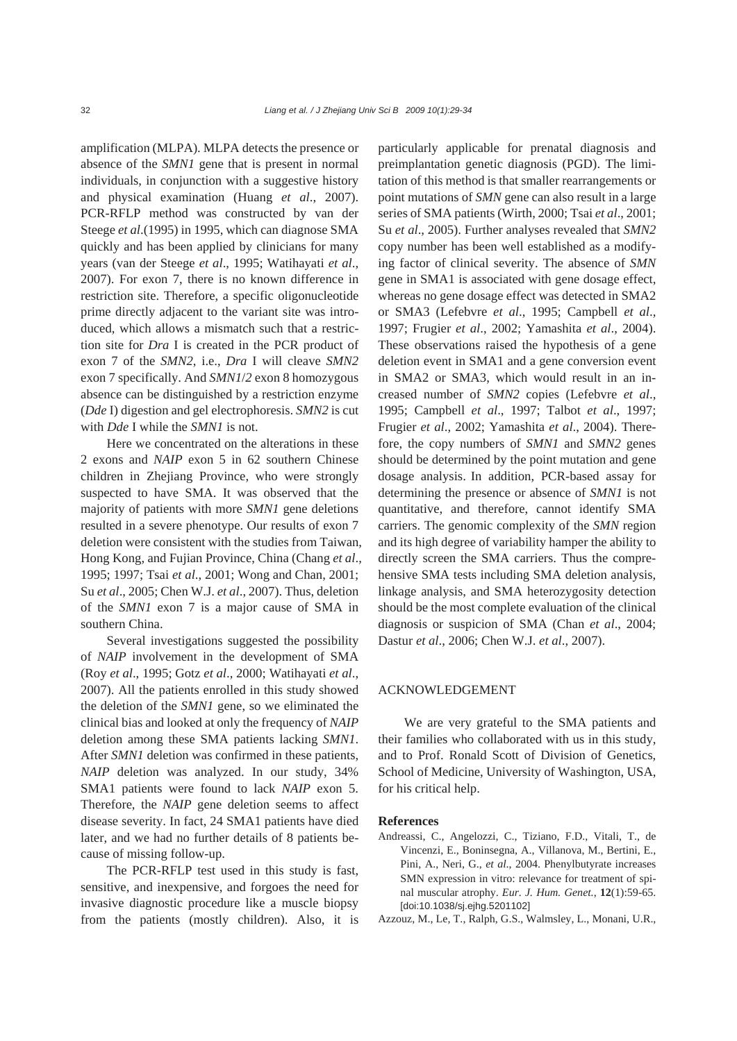amplification (MLPA). MLPA detects the presence or absence of the *SMN1* gene that is present in normal individuals, in conjunction with a suggestive history and physical examination (Huang *et al*., 2007). PCR-RFLP method was constructed by van der Steege *et al*.(1995) in 1995, which can diagnose SMA quickly and has been applied by clinicians for many years (van der Steege *et al*., 1995; Watihayati *et al*., 2007). For exon 7, there is no known difference in restriction site. Therefore, a specific oligonucleotide prime directly adjacent to the variant site was introduced, which allows a mismatch such that a restriction site for *Dra* I is created in the PCR product of exon 7 of the *SMN2*, i.e., *Dra* I will cleave *SMN2*  exon 7 specifically. And *SMN1*/*2* exon 8 homozygous absence can be distinguished by a restriction enzyme (*Dde* I) digestion and gel electrophoresis. *SMN2* is cut with *Dde* I while the *SMN1* is not.

Here we concentrated on the alterations in these 2 exons and *NAIP* exon 5 in 62 southern Chinese children in Zhejiang Province, who were strongly suspected to have SMA. It was observed that the majority of patients with more *SMN1* gene deletions resulted in a severe phenotype. Our results of exon 7 deletion were consistent with the studies from Taiwan, Hong Kong, and Fujian Province, China (Chang *et al*., 1995; 1997; Tsai *et al*., 2001; Wong and Chan, 2001; Su *et al*., 2005; Chen W.J. *et al*., 2007). Thus, deletion of the *SMN1* exon 7 is a major cause of SMA in southern China.

Several investigations suggested the possibility of *NAIP* involvement in the development of SMA (Roy *et al*., 1995; Gotz *et al*., 2000; Watihayati *et al*., 2007). All the patients enrolled in this study showed the deletion of the *SMN1* gene, so we eliminated the clinical bias and looked at only the frequency of *NAIP* deletion among these SMA patients lacking *SMN1*. After *SMN1* deletion was confirmed in these patients, *NAIP* deletion was analyzed. In our study, 34% SMA1 patients were found to lack *NAIP* exon 5. Therefore, the *NAIP* gene deletion seems to affect disease severity. In fact, 24 SMA1 patients have died later, and we had no further details of 8 patients because of missing follow-up.

The PCR-RFLP test used in this study is fast, sensitive, and inexpensive, and forgoes the need for invasive diagnostic procedure like a muscle biopsy from the patients (mostly children). Also, it is particularly applicable for prenatal diagnosis and preimplantation genetic diagnosis (PGD). The limitation of this method is that smaller rearrangements or point mutations of *SMN* gene can also result in a large series of SMA patients (Wirth, 2000; Tsai *et al*., 2001; Su *et al*., 2005). Further analyses revealed that *SMN2* copy number has been well established as a modifying factor of clinical severity. The absence of *SMN* gene in SMA1 is associated with gene dosage effect, whereas no gene dosage effect was detected in SMA2 or SMA3 (Lefebvre *et al*., 1995; Campbell *et al*., 1997; Frugier *et al*., 2002; Yamashita *et al*., 2004). These observations raised the hypothesis of a gene deletion event in SMA1 and a gene conversion event in SMA2 or SMA3, which would result in an increased number of *SMN2* copies (Lefebvre *et al*., 1995; Campbell *et al*., 1997; Talbot *et al*., 1997; Frugier *et al*., 2002; Yamashita *et al*., 2004). Therefore, the copy numbers of *SMN1* and *SMN2* genes should be determined by the point mutation and gene dosage analysis. In addition, PCR-based assay for determining the presence or absence of *SMN1* is not quantitative, and therefore, cannot identify SMA carriers. The genomic complexity of the *SMN* region and its high degree of variability hamper the ability to directly screen the SMA carriers. Thus the comprehensive SMA tests including SMA deletion analysis, linkage analysis, and SMA heterozygosity detection should be the most complete evaluation of the clinical diagnosis or suspicion of SMA (Chan *et al*., 2004; Dastur *et al*., 2006; Chen W.J. *et al*., 2007).

### ACKNOWLEDGEMENT

We are very grateful to the SMA patients and their families who collaborated with us in this study, and to Prof. Ronald Scott of Division of Genetics, School of Medicine, University of Washington, USA, for his critical help.

#### **References**

- Andreassi, C., Angelozzi, C., Tiziano, F.D., Vitali, T., de Vincenzi, E., Boninsegna, A., Villanova, M., Bertini, E., Pini, A., Neri, G., *et al*., 2004. Phenylbutyrate increases SMN expression in vitro: relevance for treatment of spinal muscular atrophy. *Eur. J. Hum. Genet.*, **12**(1):59-65. [doi:10.1038/sj.ejhg.5201102]
- Azzouz, M., Le, T., Ralph, G.S., Walmsley, L., Monani, U.R.,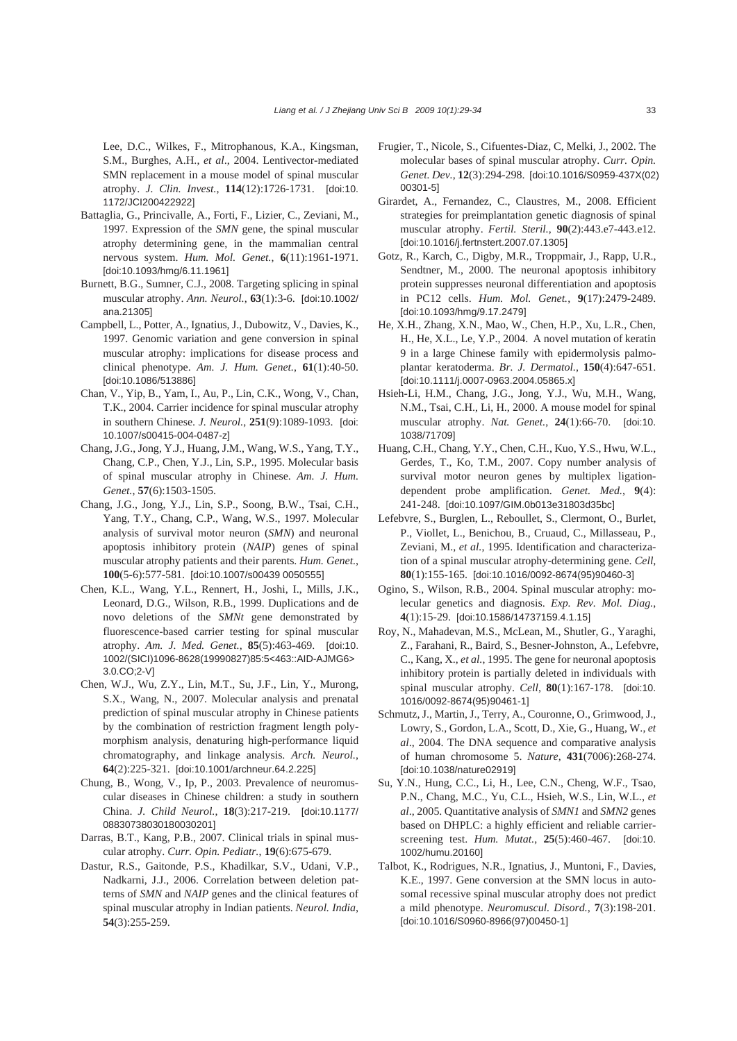Lee, D.C., Wilkes, F., Mitrophanous, K.A., Kingsman, S.M., Burghes, A.H., *et al*., 2004. Lentivector-mediated SMN replacement in a mouse model of spinal muscular atrophy. *J. Clin. Invest.*, **114**(12):1726-1731. [doi:10. 1172/JCI200422922]

- Battaglia, G., Princivalle, A., Forti, F., Lizier, C., Zeviani, M., 1997. Expression of the *SMN* gene, the spinal muscular atrophy determining gene, in the mammalian central nervous system. *Hum. Mol. Genet.*, **6**(11):1961-1971. [doi:10.1093/hmg/6.11.1961]
- Burnett, B.G., Sumner, C.J., 2008. Targeting splicing in spinal muscular atrophy. *Ann. Neurol.*, **63**(1):3-6. [doi:10.1002/ ana.21305]
- Campbell, L., Potter, A., Ignatius, J., Dubowitz, V., Davies, K., 1997. Genomic variation and gene conversion in spinal muscular atrophy: implications for disease process and clinical phenotype. *Am. J. Hum. Genet.*, **61**(1):40-50. [doi:10.1086/513886]
- Chan, V., Yip, B., Yam, I., Au, P., Lin, C.K., Wong, V., Chan, T.K., 2004. Carrier incidence for spinal muscular atrophy in southern Chinese. *J. Neurol.*, **251**(9):1089-1093. [doi: 10.1007/s00415-004-0487-z]
- Chang, J.G., Jong, Y.J., Huang, J.M., Wang, W.S., Yang, T.Y., Chang, C.P., Chen, Y.J., Lin, S.P., 1995. Molecular basis of spinal muscular atrophy in Chinese. *Am. J. Hum. Genet.*, **57**(6):1503-1505.
- Chang, J.G., Jong, Y.J., Lin, S.P., Soong, B.W., Tsai, C.H., Yang, T.Y., Chang, C.P., Wang, W.S., 1997. Molecular analysis of survival motor neuron (*SMN*) and neuronal apoptosis inhibitory protein (*NAIP*) genes of spinal muscular atrophy patients and their parents. *Hum. Genet.*, **100**(5-6):577-581. [doi:10.1007/s00439 0050555]
- Chen, K.L., Wang, Y.L., Rennert, H., Joshi, I., Mills, J.K., Leonard, D.G., Wilson, R.B., 1999. Duplications and de novo deletions of the *SMNt* gene demonstrated by fluorescence-based carrier testing for spinal muscular atrophy. *Am. J. Med. Genet.*, **85**(5):463-469. [doi:10. 1002/(SICI)1096-8628(19990827)85:5<463::AID-AJMG6> 3.0.CO;2-V]
- Chen, W.J., Wu, Z.Y., Lin, M.T., Su, J.F., Lin, Y., Murong, S.X., Wang, N., 2007. Molecular analysis and prenatal prediction of spinal muscular atrophy in Chinese patients by the combination of restriction fragment length polymorphism analysis, denaturing high-performance liquid chromatography, and linkage analysis. *Arch. Neurol.*, **64**(2):225-321. [doi:10.1001/archneur.64.2.225]
- Chung, B., Wong, V., Ip, P., 2003. Prevalence of neuromuscular diseases in Chinese children: a study in southern China. *J. Child Neurol.*, **18**(3):217-219. [doi:10.1177/ 08830738030180030201]
- Darras, B.T., Kang, P.B., 2007. Clinical trials in spinal muscular atrophy. *Curr. Opin. Pediatr.*, **19**(6):675-679.
- Dastur, R.S., Gaitonde, P.S., Khadilkar, S.V., Udani, V.P., Nadkarni, J.J., 2006. Correlation between deletion patterns of *SMN* and *NAIP* genes and the clinical features of spinal muscular atrophy in Indian patients. *Neurol. India*, **54**(3):255-259.
- Frugier, T., Nicole, S., Cifuentes-Diaz, C, Melki, J., 2002. The molecular bases of spinal muscular atrophy. *Curr. Opin. Genet. Dev.*, **12**(3):294-298. [doi:10.1016/S0959-437X(02) 00301-5]
- Girardet, A., Fernandez, C., Claustres, M., 2008. Efficient strategies for preimplantation genetic diagnosis of spinal muscular atrophy. *Fertil. Steril.*, **90**(2):443.e7-443.e12. [doi:10.1016/j.fertnstert.2007.07.1305]
- Gotz, R., Karch, C., Digby, M.R., Troppmair, J., Rapp, U.R., Sendtner, M., 2000. The neuronal apoptosis inhibitory protein suppresses neuronal differentiation and apoptosis in PC12 cells. *Hum. Mol. Genet.*, **9**(17):2479-2489. [doi:10.1093/hmg/9.17.2479]
- He, X.H., Zhang, X.N., Mao, W., Chen, H.P., Xu, L.R., Chen, H., He, X.L., Le, Y.P., 2004. A novel mutation of keratin 9 in a large Chinese family with epidermolysis palmoplantar keratoderma. *Br. J. Dermatol.*, **150**(4):647-651. [doi:10.1111/j.0007-0963.2004.05865.x]
- Hsieh-Li, H.M., Chang, J.G., Jong, Y.J., Wu, M.H., Wang, N.M., Tsai, C.H., Li, H., 2000. A mouse model for spinal muscular atrophy. *Nat. Genet.*, **24**(1):66-70. [doi:10. 1038/71709]
- Huang, C.H., Chang, Y.Y., Chen, C.H., Kuo, Y.S., Hwu, W.L., Gerdes, T., Ko, T.M., 2007. Copy number analysis of survival motor neuron genes by multiplex ligationdependent probe amplification. *Genet. Med.*, **9**(4): 241-248. [doi:10.1097/GIM.0b013e31803d35bc]
- Lefebvre, S., Burglen, L., Reboullet, S., Clermont, O., Burlet, P., Viollet, L., Benichou, B., Cruaud, C., Millasseau, P., Zeviani, M., *et al.*, 1995. Identification and characterization of a spinal muscular atrophy-determining gene. *Cell*, **80**(1):155-165. [doi:10.1016/0092-8674(95)90460-3]
- Ogino, S., Wilson, R.B., 2004. Spinal muscular atrophy: molecular genetics and diagnosis. *Exp. Rev. Mol. Diag.*, **4**(1):15-29. [doi:10.1586/14737159.4.1.15]
- Roy, N., Mahadevan, M.S., McLean, M., Shutler, G., Yaraghi, Z., Farahani, R., Baird, S., Besner-Johnston, A., Lefebvre, C., Kang, X., *et al.*, 1995. The gene for neuronal apoptosis inhibitory protein is partially deleted in individuals with spinal muscular atrophy. *Cell*, **80**(1):167-178. [doi:10. 1016/0092-8674(95)90461-1]
- Schmutz, J., Martin, J., Terry, A., Couronne, O., Grimwood, J., Lowry, S., Gordon, L.A., Scott, D., Xie, G., Huang, W., *et al*., 2004. The DNA sequence and comparative analysis of human chromosome 5. *Nature*, **431**(7006):268-274. [doi:10.1038/nature02919]
- Su, Y.N., Hung, C.C., Li, H., Lee, C.N., Cheng, W.F., Tsao, P.N., Chang, M.C., Yu, C.L., Hsieh, W.S., Lin, W.L., *et al*., 2005. Quantitative analysis of *SMN1* and *SMN2* genes based on DHPLC: a highly efficient and reliable carrierscreening test. *Hum. Mutat.*, **25**(5):460-467. [doi:10. 1002/humu.20160]
- Talbot, K., Rodrigues, N.R., Ignatius, J., Muntoni, F., Davies, K.E., 1997. Gene conversion at the SMN locus in autosomal recessive spinal muscular atrophy does not predict a mild phenotype. *Neuromuscul. Disord.*, **7**(3):198-201. [doi:10.1016/S0960-8966(97)00450-1]